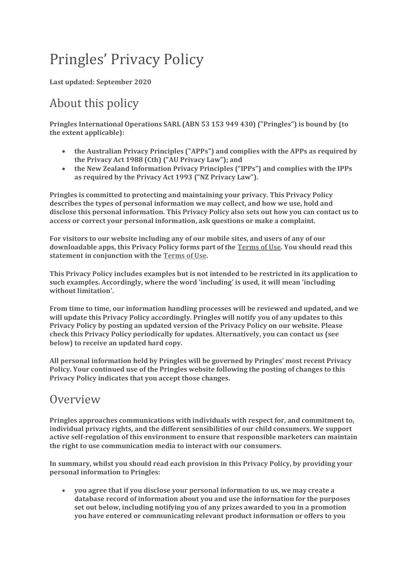# Pringles' Privacy Policy

**Last updated: September 2020**

# About this policy

**Pringles International Operations SARL (ABN 53 153 949 430) ("Pringles") is bound by (to the extent applicable):**

- **the Australian Privacy Principles ("APPs") and complies with the APPs as required by the Privacy Act 1988 (Cth) ("AU Privacy Law"); and**
- **the New Zealand Information Privacy Principles ("IPPs") and complies with the IPPs as required by the Privacy Act 1993 ("NZ Privacy Law").**

**Pringles is committed to protecting and maintaining your privacy. This Privacy Policy describes the types of personal information we may collect, and how we use, hold and disclose this personal information. This Privacy Policy also sets out how you can contact us to access or correct your personal information, ask questions or make a complaint.**

**For visitors to our website including any of our mobile sites, and users of any of our downloadable apps, this Privacy Policy forms part of the [Terms of Use.](https://www.pringles.com/au/terms.html) You should read this statement in conjunction with the [Terms of Use.](https://www.pringles.com/au/terms.html)**

**This Privacy Policy includes examples but is not intended to be restricted in its application to such examples. Accordingly, where the word 'including' is used, it will mean 'including without limitation'.**

**From time to time, our information handling processes will be reviewed and updated, and we will update this Privacy Policy accordingly. Pringles will notify you of any updates to this Privacy Policy by posting an updated version of the Privacy Policy on our website. Please check this Privacy Policy periodically for updates. Alternatively, you can contact us (see below) to receive an updated hard copy.**

**All personal information held by Pringles will be governed by Pringles' most recent Privacy Policy. Your continued use of the Pringles website following the posting of changes to this Privacy Policy indicates that you accept those changes.**

#### **Overview**

**Pringles approaches communications with individuals with respect for, and commitment to, individual privacy rights, and the different sensibilities of our child consumers. We support active self-regulation of this environment to ensure that responsible marketers can maintain the right to use communication media to interact with our consumers.**

**In summary, whilst you should read each provision in this Privacy Policy, by providing your personal information to Pringles:**

 **you agree that if you disclose your personal information to us, we may create a database record of information about you and use the information for the purposes set out below, including notifying you of any prizes awarded to you in a promotion you have entered or communicating relevant product information or offers to you**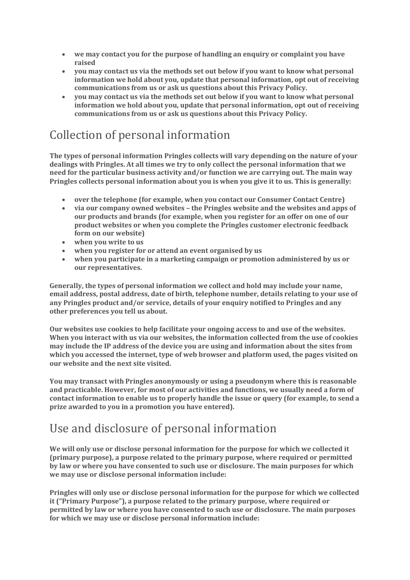- **we may contact you for the purpose of handling an enquiry or complaint you have raised**
- **you may contact us via the methods set out below if you want to know what personal information we hold about you, update that personal information, opt out of receiving communications from us or ask us questions about this Privacy Policy.**
- **you may contact us via the methods set out below if you want to know what personal information we hold about you, update that personal information, opt out of receiving communications from us or ask us questions about this Privacy Policy.**

# Collection of personal information

**The types of personal information Pringles collects will vary depending on the nature of your dealings with Pringles. At all times we try to only collect the personal information that we need for the particular business activity and/or function we are carrying out. The main way Pringles collects personal information about you is when you give it to us. This is generally:**

- **over the telephone (for example, when you contact our Consumer Contact Centre)**
- **via our company owned websites – the Pringles website and the websites and apps of our products and brands (for example, when you register for an offer on one of our product websites or when you complete the Pringles customer electronic feedback form on our website)**
- **when you write to us**
- **when you register for or attend an event organised by us**
- **when you participate in a marketing campaign or promotion administered by us or our representatives.**

**Generally, the types of personal information we collect and hold may include your name, email address, postal address, date of birth, telephone number, details relating to your use of any Pringles product and/or service, details of your enquiry notified to Pringles and any other preferences you tell us about.**

**Our websites use cookies to help facilitate your ongoing access to and use of the websites. When you interact with us via our websites, the information collected from the use of cookies may include the IP address of the device you are using and information about the sites from which you accessed the internet, type of web browser and platform used, the pages visited on our website and the next site visited.**

**You may transact with Pringles anonymously or using a pseudonym where this is reasonable and practicable. However, for most of our activities and functions, we usually need a form of contact information to enable us to properly handle the issue or query (for example, to send a prize awarded to you in a promotion you have entered).**

## Use and disclosure of personal information

**We will only use or disclose personal information for the purpose for which we collected it (primary purpose), a purpose related to the primary purpose, where required or permitted by law or where you have consented to such use or disclosure. The main purposes for which we may use or disclose personal information include:**

**Pringles will only use or disclose personal information for the purpose for which we collected it ("Primary Purpose"), a purpose related to the primary purpose, where required or permitted by law or where you have consented to such use or disclosure. The main purposes for which we may use or disclose personal information include:**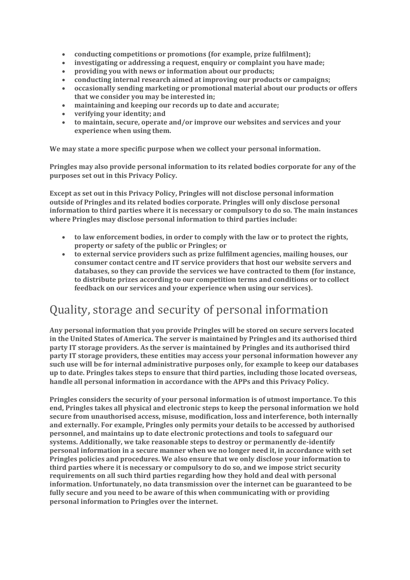- **conducting competitions or promotions (for example, prize fulfilment);**
- **investigating or addressing a request, enquiry or complaint you have made;**
- **providing you with news or information about our products;**
- **conducting internal research aimed at improving our products or campaigns;**
- **occasionally sending marketing or promotional material about our products or offers that we consider you may be interested in;**
- **maintaining and keeping our records up to date and accurate;**
- **verifying your identity; and**
- **to maintain, secure, operate and/or improve our websites and services and your experience when using them.**

**We may state a more specific purpose when we collect your personal information.**

**Pringles may also provide personal information to its related bodies corporate for any of the purposes set out in this Privacy Policy.**

**Except as set out in this Privacy Policy, Pringles will not disclose personal information outside of Pringles and its related bodies corporate. Pringles will only disclose personal information to third parties where it is necessary or compulsory to do so. The main instances where Pringles may disclose personal information to third parties include:**

- **to law enforcement bodies, in order to comply with the law or to protect the rights, property or safety of the public or Pringles; or**
- **to external service providers such as prize fulfilment agencies, mailing houses, our consumer contact centre and IT service providers that host our website servers and databases, so they can provide the services we have contracted to them (for instance, to distribute prizes according to our competition terms and conditions or to collect feedback on our services and your experience when using our services).**

## Quality, storage and security of personal information

**Any personal information that you provide Pringles will be stored on secure servers located in the United States of America. The server is maintained by Pringles and its authorised third party IT storage providers. As the server is maintained by Pringles and its authorised third party IT storage providers, these entities may access your personal information however any such use will be for internal administrative purposes only, for example to keep our databases up to date. Pringles takes steps to ensure that third parties, including those located overseas, handle all personal information in accordance with the APPs and this Privacy Policy.**

**Pringles considers the security of your personal information is of utmost importance. To this end, Pringles takes all physical and electronic steps to keep the personal information we hold secure from unauthorised access, misuse, modification, loss and interference, both internally and externally. For example, Pringles only permits your details to be accessed by authorised personnel, and maintains up to date electronic protections and tools to safeguard our systems. Additionally, we take reasonable steps to destroy or permanently de-identify personal information in a secure manner when we no longer need it, in accordance with set Pringles policies and procedures. We also ensure that we only disclose your information to third parties where it is necessary or compulsory to do so, and we impose strict security requirements on all such third parties regarding how they hold and deal with personal information. Unfortunately, no data transmission over the internet can be guaranteed to be fully secure and you need to be aware of this when communicating with or providing personal information to Pringles over the internet.**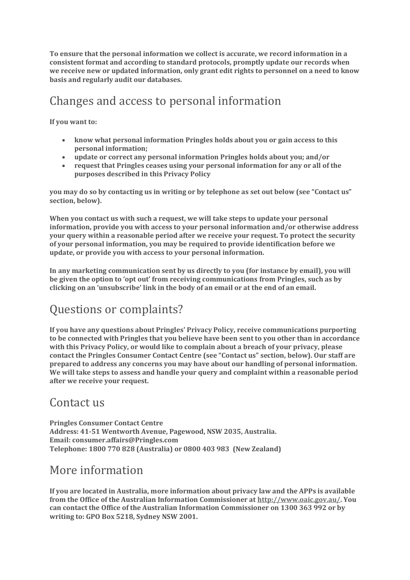**To ensure that the personal information we collect is accurate, we record information in a consistent format and according to standard protocols, promptly update our records when we receive new or updated information, only grant edit rights to personnel on a need to know basis and regularly audit our databases.**

## Changes and access to personal information

**If you want to:**

- **know what personal information Pringles holds about you or gain access to this personal information;**
- **update or correct any personal information Pringles holds about you; and/or**
- **request that Pringles ceases using your personal information for any or all of the purposes described in this Privacy Policy**

**you may do so by contacting us in writing or by telephone as set out below (see "Contact us" section, below).**

**When you contact us with such a request, we will take steps to update your personal information, provide you with access to your personal information and/or otherwise address your query within a reasonable period after we receive your request. To protect the security of your personal information, you may be required to provide identification before we update, or provide you with access to your personal information.**

**In any marketing communication sent by us directly to you (for instance by email), you will be given the option to 'opt out' from receiving communications from Pringles, such as by clicking on an 'unsubscribe' link in the body of an email or at the end of an email.**

## Questions or complaints?

**If you have any questions about Pringles' Privacy Policy, receive communications purporting to be connected with Pringles that you believe have been sent to you other than in accordance with this Privacy Policy, or would like to complain about a breach of your privacy, please contact the Pringles Consumer Contact Centre (see "Contact us" section, below). Our staff are prepared to address any concerns you may have about our handling of personal information. We will take steps to assess and handle your query and complaint within a reasonable period after we receive your request.**

#### Contact us

**Pringles Consumer Contact Centre Address: 41-51 Wentworth Avenue, Pagewood, NSW 2035, Australia. Email: consumer.affairs@Pringles.com Telephone: 1800 770 828 (Australia) or 0800 403 983 (New Zealand)**

#### More information

**If you are located in Australia, more information about privacy law and the APPs is available from the Office of the Australian Information Commissioner at [http://www.oaic.gov.au/.](http://www.oaic.gov.au/) You can contact the Office of the Australian Information Commissioner on 1300 363 992 or by writing to: GPO Box 5218, Sydney NSW 2001.**